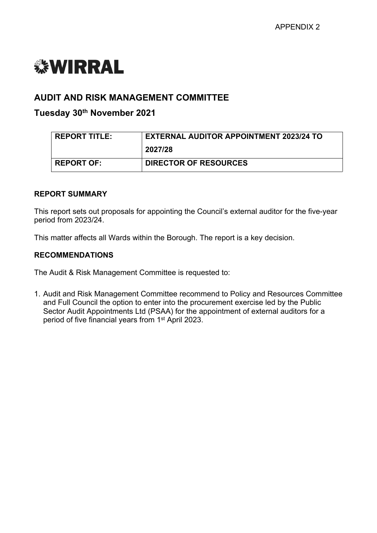# *<b><i>S***WIRRAL**

# **AUDIT AND RISK MANAGEMENT COMMITTEE**

# **Tuesday 30th November 2021**

| <b>REPORT TITLE:</b> | <b>EXTERNAL AUDITOR APPOINTMENT 2023/24 TO</b> |  |
|----------------------|------------------------------------------------|--|
|                      | 2027/28                                        |  |
| <b>REPORT OF:</b>    | <b>DIRECTOR OF RESOURCES</b>                   |  |

#### **REPORT SUMMARY**

This report sets out proposals for appointing the Council's external auditor for the five-year period from 2023/24.

This matter affects all Wards within the Borough. The report is a key decision.

## **RECOMMENDATIONS**

The Audit & Risk Management Committee is requested to:

1. Audit and Risk Management Committee recommend to Policy and Resources Committee and Full Council the option to enter into the procurement exercise led by the Public Sector Audit Appointments Ltd (PSAA) for the appointment of external auditors for a period of five financial years from 1<sup>st</sup> April 2023.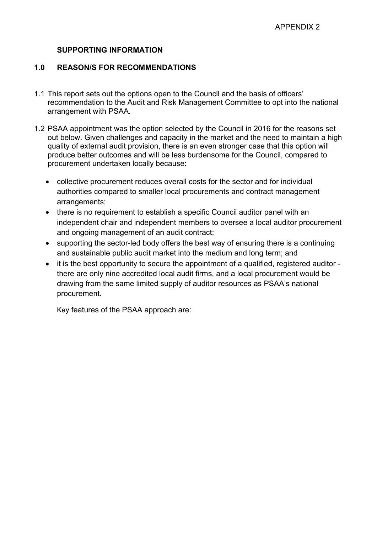## **SUPPORTING INFORMATION**

## **1.0 REASON/S FOR RECOMMENDATIONS**

- 1.1 This report sets out the options open to the Council and the basis of officers' recommendation to the Audit and Risk Management Committee to opt into the national arrangement with PSAA.
- 1.2 PSAA appointment was the option selected by the Council in 2016 for the reasons set out below. Given challenges and capacity in the market and the need to maintain a high quality of external audit provision, there is an even stronger case that this option will produce better outcomes and will be less burdensome for the Council, compared to procurement undertaken locally because:
	- collective procurement reduces overall costs for the sector and for individual authorities compared to smaller local procurements and contract management arrangements;
	- there is no requirement to establish a specific Council auditor panel with an independent chair and independent members to oversee a local auditor procurement and ongoing management of an audit contract;
	- supporting the sector-led body offers the best way of ensuring there is a continuing and sustainable public audit market into the medium and long term; and
	- it is the best opportunity to secure the appointment of a qualified, registered auditor there are only nine accredited local audit firms, and a local procurement would be drawing from the same limited supply of auditor resources as PSAA's national procurement.

Key features of the PSAA approach are: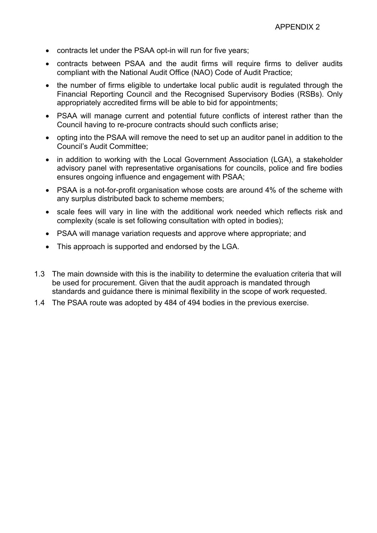- contracts let under the PSAA opt-in will run for five years;
- contracts between PSAA and the audit firms will require firms to deliver audits compliant with the National Audit Office (NAO) Code of Audit Practice;
- the number of firms eligible to undertake local public audit is regulated through the Financial Reporting Council and the Recognised Supervisory Bodies (RSBs). Only appropriately accredited firms will be able to bid for appointments;
- PSAA will manage current and potential future conflicts of interest rather than the Council having to re-procure contracts should such conflicts arise;
- opting into the PSAA will remove the need to set up an auditor panel in addition to the Council's Audit Committee;
- in addition to working with the Local Government Association (LGA), a stakeholder advisory panel with representative organisations for councils, police and fire bodies ensures ongoing influence and engagement with PSAA;
- PSAA is a not-for-profit organisation whose costs are around 4% of the scheme with any surplus distributed back to scheme members;
- scale fees will vary in line with the additional work needed which reflects risk and complexity (scale is set following consultation with opted in bodies);
- PSAA will manage variation requests and approve where appropriate; and
- This approach is supported and endorsed by the LGA.
- 1.3 The main downside with this is the inability to determine the evaluation criteria that will be used for procurement. Given that the audit approach is mandated through standards and guidance there is minimal flexibility in the scope of work requested.
- 1.4 The PSAA route was adopted by 484 of 494 bodies in the previous exercise.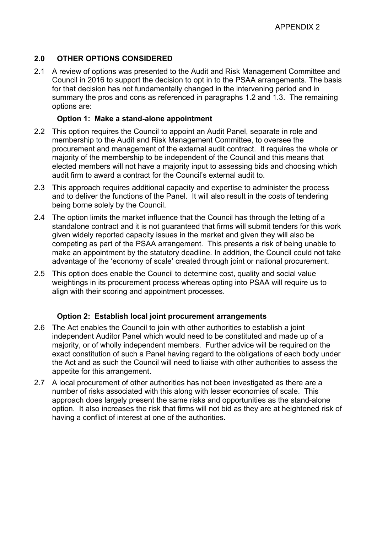## **2.0 OTHER OPTIONS CONSIDERED**

2.1 A review of options was presented to the Audit and Risk Management Committee and Council in 2016 to support the decision to opt in to the PSAA arrangements. The basis for that decision has not fundamentally changed in the intervening period and in summary the pros and cons as referenced in paragraphs 1.2 and 1.3. The remaining options are:

#### **Option 1: Make a stand-alone appointment**

- 2.2 This option requires the Council to appoint an Audit Panel, separate in role and membership to the Audit and Risk Management Committee, to oversee the procurement and management of the external audit contract. It requires the whole or majority of the membership to be independent of the Council and this means that elected members will not have a majority input to assessing bids and choosing which audit firm to award a contract for the Council's external audit to.
- 2.3 This approach requires additional capacity and expertise to administer the process and to deliver the functions of the Panel. It will also result in the costs of tendering being borne solely by the Council.
- 2.4 The option limits the market influence that the Council has through the letting of a standalone contract and it is not guaranteed that firms will submit tenders for this work given widely reported capacity issues in the market and given they will also be competing as part of the PSAA arrangement. This presents a risk of being unable to make an appointment by the statutory deadline. In addition, the Council could not take advantage of the 'economy of scale' created through joint or national procurement.
- 2.5 This option does enable the Council to determine cost, quality and social value weightings in its procurement process whereas opting into PSAA will require us to align with their scoring and appointment processes.

#### **Option 2: Establish local joint procurement arrangements**

- 2.6 The Act enables the Council to join with other authorities to establish a joint independent Auditor Panel which would need to be constituted and made up of a majority, or of wholly independent members. Further advice will be required on the exact constitution of such a Panel having regard to the obligations of each body under the Act and as such the Council will need to liaise with other authorities to assess the appetite for this arrangement.
- 2.7 A local procurement of other authorities has not been investigated as there are a number of risks associated with this along with lesser economies of scale. This approach does largely present the same risks and opportunities as the stand-alone option. It also increases the risk that firms will not bid as they are at heightened risk of having a conflict of interest at one of the authorities.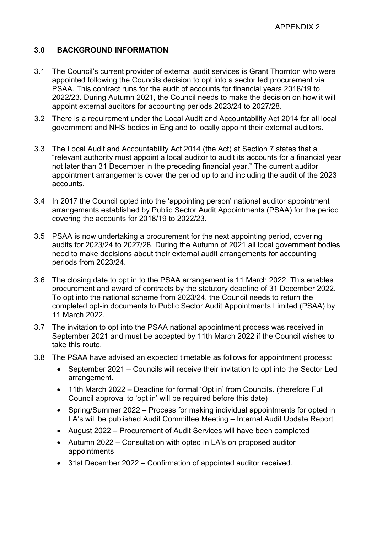## **3.0 BACKGROUND INFORMATION**

- 3.1 The Council's current provider of external audit services is Grant Thornton who were appointed following the Councils decision to opt into a sector led procurement via PSAA. This contract runs for the audit of accounts for financial years 2018/19 to 2022/23. During Autumn 2021, the Council needs to make the decision on how it will appoint external auditors for accounting periods 2023/24 to 2027/28.
- 3.2 There is a requirement under the Local Audit and Accountability Act 2014 for all local government and NHS bodies in England to locally appoint their external auditors.
- 3.3 The Local Audit and Accountability Act 2014 (the Act) at Section 7 states that a "relevant authority must appoint a local auditor to audit its accounts for a financial year not later than 31 December in the preceding financial year." The current auditor appointment arrangements cover the period up to and including the audit of the 2023 accounts.
- 3.4 In 2017 the Council opted into the 'appointing person' national auditor appointment arrangements established by Public Sector Audit Appointments (PSAA) for the period covering the accounts for 2018/19 to 2022/23.
- 3.5 PSAA is now undertaking a procurement for the next appointing period, covering audits for 2023/24 to 2027/28. During the Autumn of 2021 all local government bodies need to make decisions about their external audit arrangements for accounting periods from 2023/24.
- 3.6 The closing date to opt in to the PSAA arrangement is 11 March 2022. This enables procurement and award of contracts by the statutory deadline of 31 December 2022. To opt into the national scheme from 2023/24, the Council needs to return the completed opt-in documents to Public Sector Audit Appointments Limited (PSAA) by 11 March 2022.
- 3.7 The invitation to opt into the PSAA national appointment process was received in September 2021 and must be accepted by 11th March 2022 if the Council wishes to take this route.
- 3.8 The PSAA have advised an expected timetable as follows for appointment process:
	- September 2021 Councils will receive their invitation to opt into the Sector Led arrangement.
	- 11th March 2022 Deadline for formal 'Opt in' from Councils. (therefore Full Council approval to 'opt in' will be required before this date)
	- Spring/Summer 2022 Process for making individual appointments for opted in LA's will be published Audit Committee Meeting – Internal Audit Update Report
	- August 2022 Procurement of Audit Services will have been completed
	- Autumn 2022 Consultation with opted in LA's on proposed auditor appointments
	- 31st December 2022 Confirmation of appointed auditor received.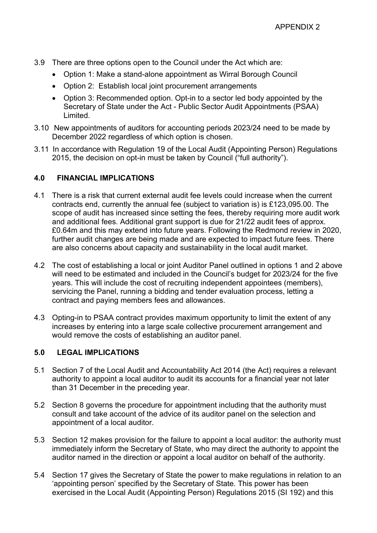- 3.9 There are three options open to the Council under the Act which are:
	- Option 1: Make a stand-alone appointment as Wirral Borough Council
	- Option 2: Establish local joint procurement arrangements
	- Option 3: Recommended option. Opt-in to a sector led body appointed by the Secretary of State under the Act - Public Sector Audit Appointments (PSAA) Limited.
- 3.10 New appointments of auditors for accounting periods 2023/24 need to be made by December 2022 regardless of which option is chosen.
- 3.11 In accordance with Regulation 19 of the Local Audit (Appointing Person) Regulations 2015, the decision on opt-in must be taken by Council ("full authority").

## **4.0 FINANCIAL IMPLICATIONS**

- 4.1 There is a risk that current external audit fee levels could increase when the current contracts end, currently the annual fee (subject to variation is) is £123,095.00. The scope of audit has increased since setting the fees, thereby requiring more audit work and additional fees. Additional grant support is due for 21/22 audit fees of approx. £0.64m and this may extend into future years. Following the Redmond review in 2020, further audit changes are being made and are expected to impact future fees. There are also concerns about capacity and sustainability in the local audit market.
- 4.2 The cost of establishing a local or joint Auditor Panel outlined in options 1 and 2 above will need to be estimated and included in the Council's budget for 2023/24 for the five years. This will include the cost of recruiting independent appointees (members), servicing the Panel, running a bidding and tender evaluation process, letting a contract and paying members fees and allowances.
- 4.3 Opting-in to PSAA contract provides maximum opportunity to limit the extent of any increases by entering into a large scale collective procurement arrangement and would remove the costs of establishing an auditor panel.

## **5.0 LEGAL IMPLICATIONS**

- 5.1 Section 7 of the Local Audit and Accountability Act 2014 (the Act) requires a relevant authority to appoint a local auditor to audit its accounts for a financial year not later than 31 December in the preceding year.
- 5.2 Section 8 governs the procedure for appointment including that the authority must consult and take account of the advice of its auditor panel on the selection and appointment of a local auditor.
- 5.3 Section 12 makes provision for the failure to appoint a local auditor: the authority must immediately inform the Secretary of State, who may direct the authority to appoint the auditor named in the direction or appoint a local auditor on behalf of the authority.
- 5.4 Section 17 gives the Secretary of State the power to make regulations in relation to an 'appointing person' specified by the Secretary of State. This power has been exercised in the Local Audit (Appointing Person) Regulations 2015 (SI 192) and this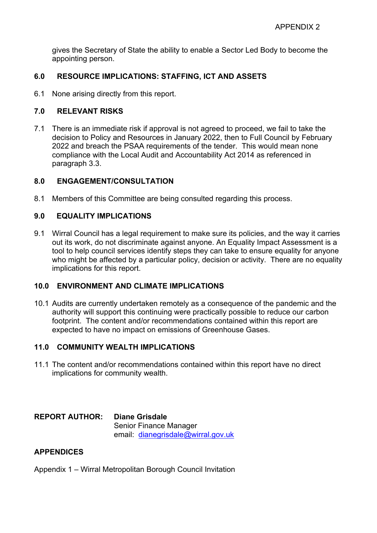gives the Secretary of State the ability to enable a Sector Led Body to become the appointing person.

## **6.0 RESOURCE IMPLICATIONS: STAFFING, ICT AND ASSETS**

6.1 None arising directly from this report.

#### **7.0 RELEVANT RISKS**

7.1 There is an immediate risk if approval is not agreed to proceed, we fail to take the decision to Policy and Resources in January 2022, then to Full Council by February 2022 and breach the PSAA requirements of the tender. This would mean none compliance with the Local Audit and Accountability Act 2014 as referenced in paragraph 3.3.

#### **8.0 ENGAGEMENT/CONSULTATION**

8.1 Members of this Committee are being consulted regarding this process.

## **9.0 EQUALITY IMPLICATIONS**

9.1 Wirral Council has a legal requirement to make sure its policies, and the way it carries out its work, do not discriminate against anyone. An Equality Impact Assessment is a tool to help council services identify steps they can take to ensure equality for anyone who might be affected by a particular policy, decision or activity. There are no equality implications for this report.

## **10.0 ENVIRONMENT AND CLIMATE IMPLICATIONS**

10.1 Audits are currently undertaken remotely as a consequence of the pandemic and the authority will support this continuing were practically possible to reduce our carbon footprint. The content and/or recommendations contained within this report are expected to have no impact on emissions of Greenhouse Gases.

#### **11.0 COMMUNITY WEALTH IMPLICATIONS**

11.1 The content and/or recommendations contained within this report have no direct implications for community wealth.

**REPORT AUTHOR: Diane Grisdale** Senior Finance Manager email: [dianegrisdale@wirral.gov.uk](mailto:dianegrisdale@wirral.gov.uk)

#### **APPENDICES**

Appendix 1 – Wirral Metropolitan Borough Council Invitation